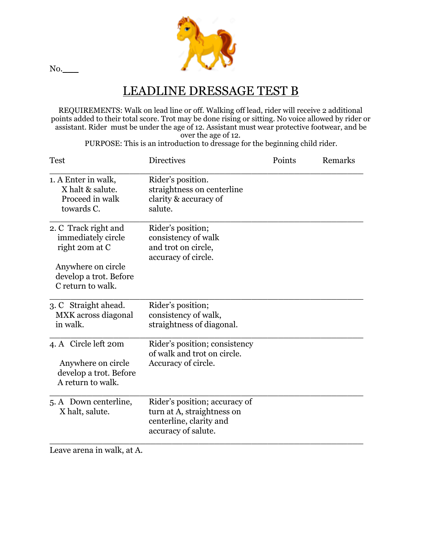

## LEADLINE DRESSAGE TEST B

REQUIREMENTS: Walk on lead line or off. Walking off lead, rider will receive 2 additional points added to their total score. Trot may be done rising or sitting. No voice allowed by rider or assistant. Rider must be under the age of 12. Assistant must wear protective footwear, and be over the age of 12.

PURPOSE: This is an introduction to dressage for the beginning child rider.

| <b>Directives</b>                                                                                             | Points | Remarks |
|---------------------------------------------------------------------------------------------------------------|--------|---------|
| Rider's position.<br>straightness on centerline<br>clarity & accuracy of<br>salute.                           |        |         |
| Rider's position;<br>consistency of walk<br>and trot on circle,<br>accuracy of circle.                        |        |         |
| Rider's position;<br>consistency of walk,<br>straightness of diagonal.                                        |        |         |
| Rider's position; consistency<br>of walk and trot on circle.<br>Accuracy of circle.                           |        |         |
| Rider's position; accuracy of<br>turn at A, straightness on<br>centerline, clarity and<br>accuracy of salute. |        |         |
|                                                                                                               |        |         |

Leave arena in walk, at A.

No.